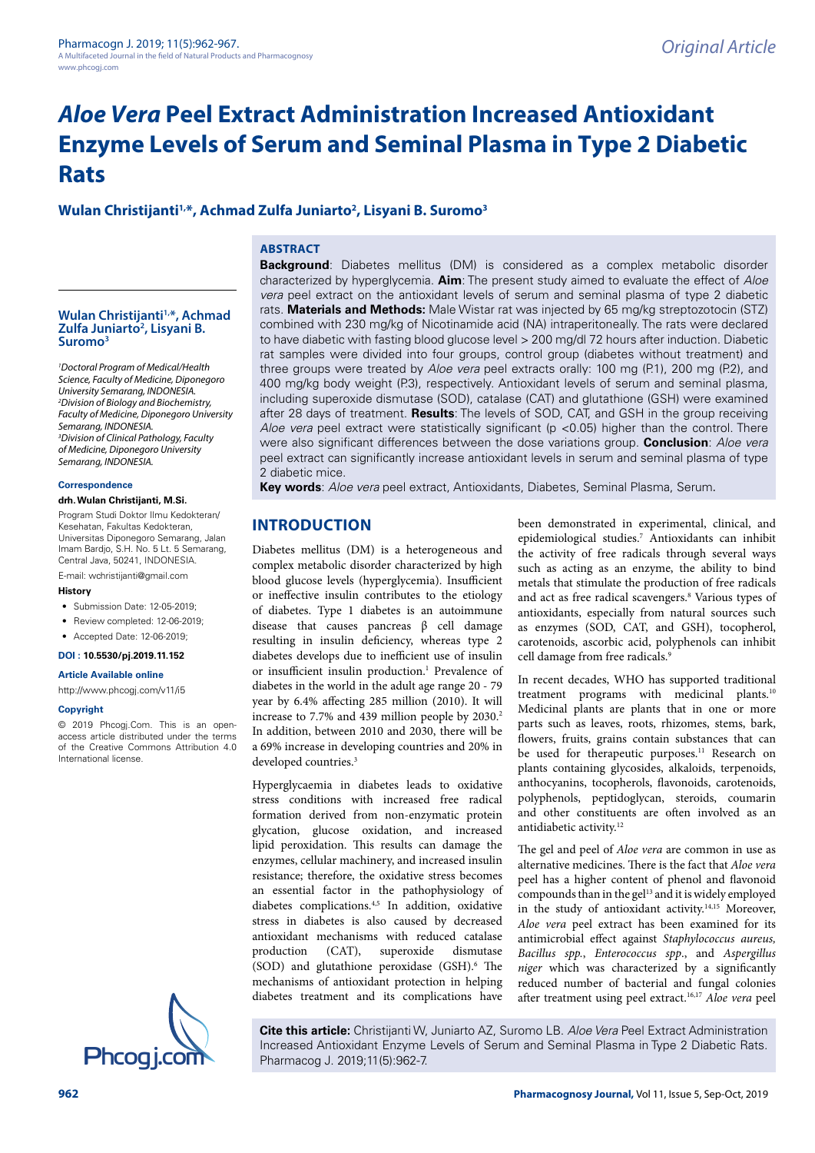# *Aloe Vera* **Peel Extract Administration Increased Antioxidant Enzyme Levels of Serum and Seminal Plasma in Type 2 Diabetic Rats**

# **Wulan Christijanti1,\*, Achmad Zulfa Juniarto2 , Lisyani B. Suromo3**

### **ABSTRACT**

#### Wulan Christijanti<sup>1,\*</sup>, Achmad **Zulfa Juniarto2 , Lisyani B. Suromo3**

*1 Doctoral Program of Medical/Health Science, Faculty of Medicine, Diponegoro University Semarang, INDONESIA. 2 Division of Biology and Biochemistry, Faculty of Medicine, Diponegoro University Semarang, INDONESIA. 3 Division of Clinical Pathology, Faculty of Medicine, Diponegoro University Semarang, INDONESIA.*

#### **Correspondence**

#### **drh. Wulan Christijanti, M.Si.**

Program Studi Doktor Ilmu Kedokteran/ Kesehatan, Fakultas Kedokteran, Universitas Diponegoro Semarang, Jalan Imam Bardjo, S.H. No. 5 Lt. 5 Semarang, Central Java, 50241, INDONESIA.

E-mail: [wchristijanti@gmail.com](mailto:wchristijanti@gmail.com)

#### **History**

- Submission Date: 12-05-2019;
- Review completed: 12-06-2019;
- Accepted Date: 12-06-2019;

#### **DOI : 10.5530/pj.2019.11.152**

**Article Available online** 

[http://www.phcogj.com/v11/i](http://www.phcogj.com/v11/i3)5

#### **Copyright**

© 2019 Phcogj.Com. This is an openaccess article distributed under the terms of the Creative Commons Attribution 4.0 International license.



**Background**: Diabetes mellitus (DM) is considered as a complex metabolic disorder characterized by hyperglycemia. **Aim**: The present study aimed to evaluate the effect of *Aloe vera* peel extract on the antioxidant levels of serum and seminal plasma of type 2 diabetic rats. **Materials and Methods:** Male Wistar rat was injected by 65 mg/kg streptozotocin (STZ) combined with 230 mg/kg of Nicotinamide acid (NA) intraperitoneally. The rats were declared to have diabetic with fasting blood glucose level > 200 mg/dl 72 hours after induction. Diabetic rat samples were divided into four groups, control group (diabetes without treatment) and three groups were treated by *Aloe vera* peel extracts orally: 100 mg (P.1), 200 mg (P.2), and 400 mg/kg body weight (P.3), respectively. Antioxidant levels of serum and seminal plasma, including superoxide dismutase (SOD), catalase (CAT) and glutathione (GSH) were examined after 28 days of treatment. **Results**: The levels of SOD, CAT, and GSH in the group receiving *Aloe vera* peel extract were statistically significant (p <0.05) higher than the control. There were also significant differences between the dose variations group. **Conclusion**: *Aloe vera* peel extract can significantly increase antioxidant levels in serum and seminal plasma of type 2 diabetic mice.

**Key words**: *Aloe vera* peel extract, Antioxidants, Diabetes, Seminal Plasma, Serum.

# **INTRODUCTION**

Diabetes mellitus (DM) is a heterogeneous and complex metabolic disorder characterized by high blood glucose levels (hyperglycemia). Insufficient or ineffective insulin contributes to the etiology of diabetes. Type 1 diabetes is an autoimmune disease that causes pancreas β cell damage resulting in insulin deficiency, whereas type 2 diabetes develops due to inefficient use of insulin or insufficient insulin production.<sup>1</sup> Prevalence of diabetes in the world in the adult age range 20 - 79 year by 6.4% affecting 285 million (2010). It will increase to 7.7% and 439 million people by 2030.<sup>2</sup> In addition, between 2010 and 2030, there will be a 69% increase in developing countries and 20% in developed countries.<sup>3</sup>

Hyperglycaemia in diabetes leads to oxidative stress conditions with increased free radical formation derived from non-enzymatic protein glycation, glucose oxidation, and increased lipid peroxidation. This results can damage the enzymes, cellular machinery, and increased insulin resistance; therefore, the oxidative stress becomes an essential factor in the pathophysiology of diabetes complications.4,5 In addition, oxidative stress in diabetes is also caused by decreased antioxidant mechanisms with reduced catalase production (CAT), superoxide dismutase (SOD) and glutathione peroxidase (GSH).<sup>6</sup> The mechanisms of antioxidant protection in helping diabetes treatment and its complications have

been demonstrated in experimental, clinical, and epidemiological studies.7 Antioxidants can inhibit the activity of free radicals through several ways such as acting as an enzyme, the ability to bind metals that stimulate the production of free radicals and act as free radical scavengers.<sup>8</sup> Various types of antioxidants, especially from natural sources such as enzymes (SOD, CAT, and GSH), tocopherol, carotenoids, ascorbic acid, polyphenols can inhibit cell damage from free radicals.<sup>9</sup>

In recent decades, WHO has supported traditional treatment programs with medicinal plants.10 Medicinal plants are plants that in one or more parts such as leaves, roots, rhizomes, stems, bark, flowers, fruits, grains contain substances that can be used for therapeutic purposes.<sup>11</sup> Research on plants containing glycosides, alkaloids, terpenoids, anthocyanins, tocopherols, flavonoids, carotenoids, polyphenols, peptidoglycan, steroids, coumarin and other constituents are often involved as an antidiabetic activity.12

The gel and peel of *Aloe vera* are common in use as alternative medicines. There is the fact that *Aloe vera* peel has a higher content of phenol and flavonoid compounds than in the gel<sup>13</sup> and it is widely employed in the study of antioxidant activity.<sup>14,15</sup> Moreover, *Aloe vera* peel extract has been examined for its antimicrobial effect against *Staphylococcus aureus, Bacillus spp.*, *Enterococcus spp*., and *Aspergillus niger* which was characterized by a significantly reduced number of bacterial and fungal colonies after treatment using peel extract.16,17 *Aloe vera* peel

**Cite this article:** Christijanti W, Juniarto AZ, Suromo LB. *Aloe Vera* Peel Extract Administration Increased Antioxidant Enzyme Levels of Serum and Seminal Plasma in Type 2 Diabetic Rats.<br>Phcog i.com Pharmacog J. 2019;11(5):962-7.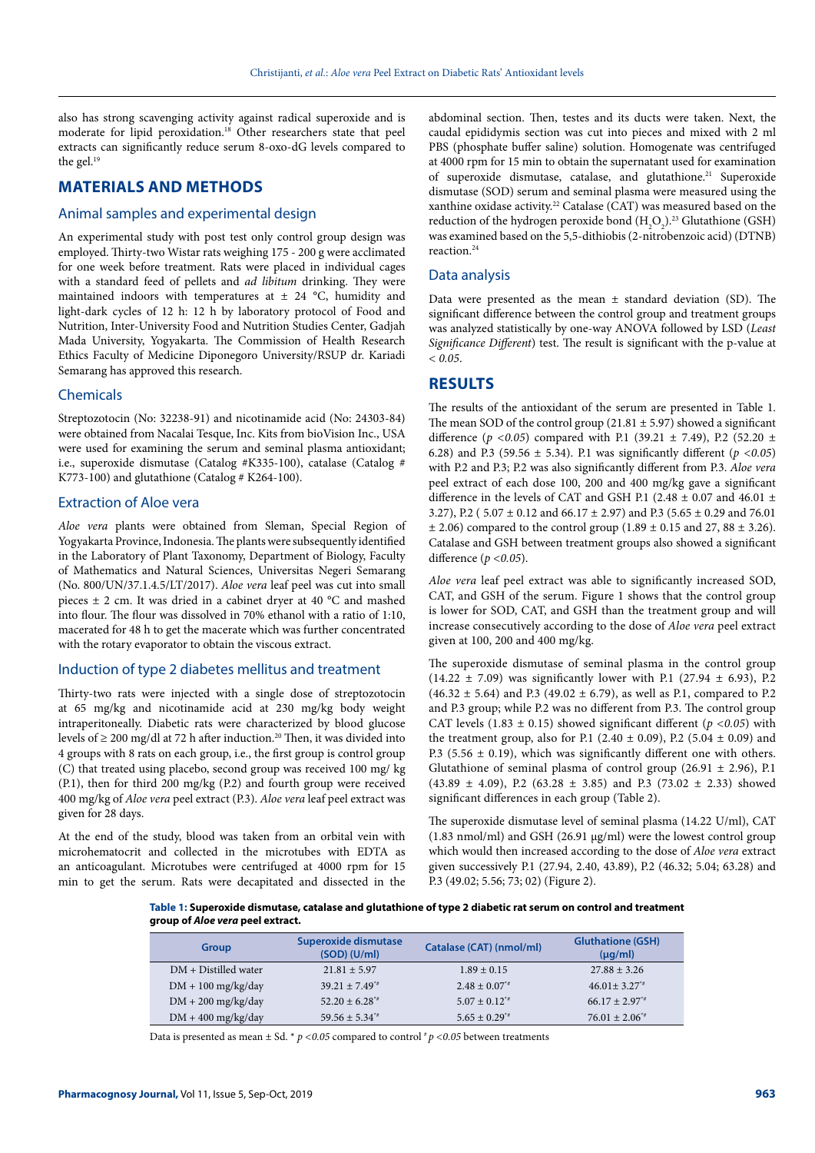also has strong scavenging activity against radical superoxide and is moderate for lipid peroxidation.18 Other researchers state that peel extracts can significantly reduce serum 8-oxo-dG levels compared to the gel.<sup>19</sup>

## **MATERIALS AND METHODS**

#### Animal samples and experimental design

An experimental study with post test only control group design was employed. Thirty-two Wistar rats weighing 175 - 200 g were acclimated for one week before treatment. Rats were placed in individual cages with a standard feed of pellets and *ad libitum* drinking. They were maintained indoors with temperatures at  $\pm$  24 °C, humidity and light-dark cycles of 12 h: 12 h by laboratory protocol of Food and Nutrition, Inter-University Food and Nutrition Studies Center, Gadjah Mada University, Yogyakarta. The Commission of Health Research Ethics Faculty of Medicine Diponegoro University/RSUP dr. Kariadi Semarang has approved this research.

#### Chemicals

Streptozotocin (No: 32238-91) and nicotinamide acid (No: 24303-84) were obtained from Nacalai Tesque, Inc. Kits from bioVision Inc., USA were used for examining the serum and seminal plasma antioxidant; i.e., superoxide dismutase (Catalog #K335-100), catalase (Catalog # K773-100) and glutathione (Catalog # K264-100).

### Extraction of Aloe vera

*Aloe vera* plants were obtained from Sleman, Special Region of Yogyakarta Province, Indonesia. The plants were subsequently identified in the Laboratory of Plant Taxonomy, Department of Biology, Faculty of Mathematics and Natural Sciences, Universitas Negeri Semarang (No. 800/UN/37.1.4.5/LT/2017). *Aloe vera* leaf peel was cut into small pieces ± 2 cm. It was dried in a cabinet dryer at 40 °C and mashed into flour. The flour was dissolved in 70% ethanol with a ratio of 1:10, macerated for 48 h to get the macerate which was further concentrated with the rotary evaporator to obtain the viscous extract.

#### Induction of type 2 diabetes mellitus and treatment

Thirty-two rats were injected with a single dose of streptozotocin at 65 mg/kg and nicotinamide acid at 230 mg/kg body weight intraperitoneally. Diabetic rats were characterized by blood glucose levels of ≥ 200 mg/dl at 72 h after induction.<sup>20</sup> Then, it was divided into 4 groups with 8 rats on each group, i.e., the first group is control group (C) that treated using placebo, second group was received 100 mg/ kg (P.1), then for third 200 mg/kg (P.2) and fourth group were received 400 mg/kg of *Aloe vera* peel extract (P.3). *Aloe vera* leaf peel extract was given for 28 days.

At the end of the study, blood was taken from an orbital vein with microhematocrit and collected in the microtubes with EDTA as an anticoagulant. Microtubes were centrifuged at 4000 rpm for 15 min to get the serum. Rats were decapitated and dissected in the

abdominal section. Then, testes and its ducts were taken. Next, the caudal epididymis section was cut into pieces and mixed with 2 ml PBS (phosphate buffer saline) solution. Homogenate was centrifuged at 4000 rpm for 15 min to obtain the supernatant used for examination of superoxide dismutase, catalase, and glutathione.<sup>21</sup> Superoxide dismutase (SOD) serum and seminal plasma were measured using the xanthine oxidase activity.<sup>22</sup> Catalase (CAT) was measured based on the reduction of the hydrogen peroxide bond  $(H_2O_2)^{23}$  Glutathione (GSH) was examined based on the 5,5-dithiobis (2-nitrobenzoic acid) (DTNB) reaction<sup>24</sup>

#### Data analysis

Data were presented as the mean  $\pm$  standard deviation (SD). The significant difference between the control group and treatment groups was analyzed statistically by one-way ANOVA followed by LSD (*Least Significance Different*) test. The result is significant with the p-value at *< 0.05*.

#### **RESULTS**

The results of the antioxidant of the serum are presented in Table 1. The mean SOD of the control group (21.81  $\pm$  5.97) showed a significant difference ( $p < 0.05$ ) compared with P.1 (39.21  $\pm$  7.49), P.2 (52.20  $\pm$ 6.28) and P.3 (59.56  $\pm$  5.34). P.1 was significantly different ( $p < 0.05$ ) with P.2 and P.3; P.2 was also significantly different from P.3. *Aloe vera* peel extract of each dose 100, 200 and 400 mg/kg gave a significant difference in the levels of CAT and GSH P.1 (2.48  $\pm$  0.07 and 46.01  $\pm$ 3.27), P.2 ( $5.07 \pm 0.12$  and  $66.17 \pm 2.97$ ) and P.3 ( $5.65 \pm 0.29$  and  $76.01$  $± 2.06$ ) compared to the control group (1.89  $± 0.15$  and 27, 88  $± 3.26$ ). Catalase and GSH between treatment groups also showed a significant difference (*p <0.05*).

*Aloe vera* leaf peel extract was able to significantly increased SOD, CAT, and GSH of the serum. Figure 1 shows that the control group is lower for SOD, CAT, and GSH than the treatment group and will increase consecutively according to the dose of *Aloe vera* peel extract given at 100, 200 and 400 mg/kg.

The superoxide dismutase of seminal plasma in the control group  $(14.22 \pm 7.09)$  was significantly lower with P.1 (27.94  $\pm$  6.93), P.2  $(46.32 \pm 5.64)$  and P.3  $(49.02 \pm 6.79)$ , as well as P.1, compared to P.2 and P.3 group; while P.2 was no different from P.3. The control group CAT levels (1.83  $\pm$  0.15) showed significant different ( $p$  <0.05) with the treatment group, also for P.1 (2.40  $\pm$  0.09), P.2 (5.04  $\pm$  0.09) and P.3 (5.56  $\pm$  0.19), which was significantly different one with others. Glutathione of seminal plasma of control group  $(26.91 \pm 2.96)$ , P.1  $(43.89 \pm 4.09)$ , P.2  $(63.28 \pm 3.85)$  and P.3  $(73.02 \pm 2.33)$  showed significant differences in each group (Table 2).

The superoxide dismutase level of seminal plasma (14.22 U/ml), CAT (1.83 nmol/ml) and GSH (26.91 μg/ml) were the lowest control group which would then increased according to the dose of *Aloe vera* extract given successively P.1 (27.94, 2.40, 43.89), P.2 (46.32; 5.04; 63.28) and P.3 (49.02; 5.56; 73; 02) (Figure 2).

**Table 1: Superoxide dismutase, catalase and glutathione of type 2 diabetic rat serum on control and treatment group of** *Aloe vera* **peel extract.**

| Group                  | Superoxide dismutase<br>$(SOD)$ (U/ml) | Catalase (CAT) (nmol/ml) | <b>Gluthatione (GSH)</b><br>$(\mu q/ml)$ |
|------------------------|----------------------------------------|--------------------------|------------------------------------------|
| $DM + Distilled water$ | $21.81 + 5.97$                         | $1.89 \pm 0.15$          | $27.88 \pm 3.26$                         |
| $DM + 100$ mg/kg/day   | $39.21 + 7.49^{4}$                     | $2.48 \pm 0.07^{*}$      | $46.01 \pm 3.27^{*}$                     |
| $DM + 200$ mg/kg/day   | $52.20 \pm 6.28$ <sup>**</sup>         | $5.07 \pm 0.12^{*}$      | $66.17 \pm 2.97^{*}$                     |
| $DM + 400$ mg/kg/day   | $59.56 \pm 5.34^{**}$                  | $5.65 \pm 0.29^{*}$      | $76.01 \pm 2.06^{*}$                     |

Data is presented as mean  $\pm$  Sd. \* *p* < 0.05 compared to control  $\neq$  *p* < 0.05 between treatments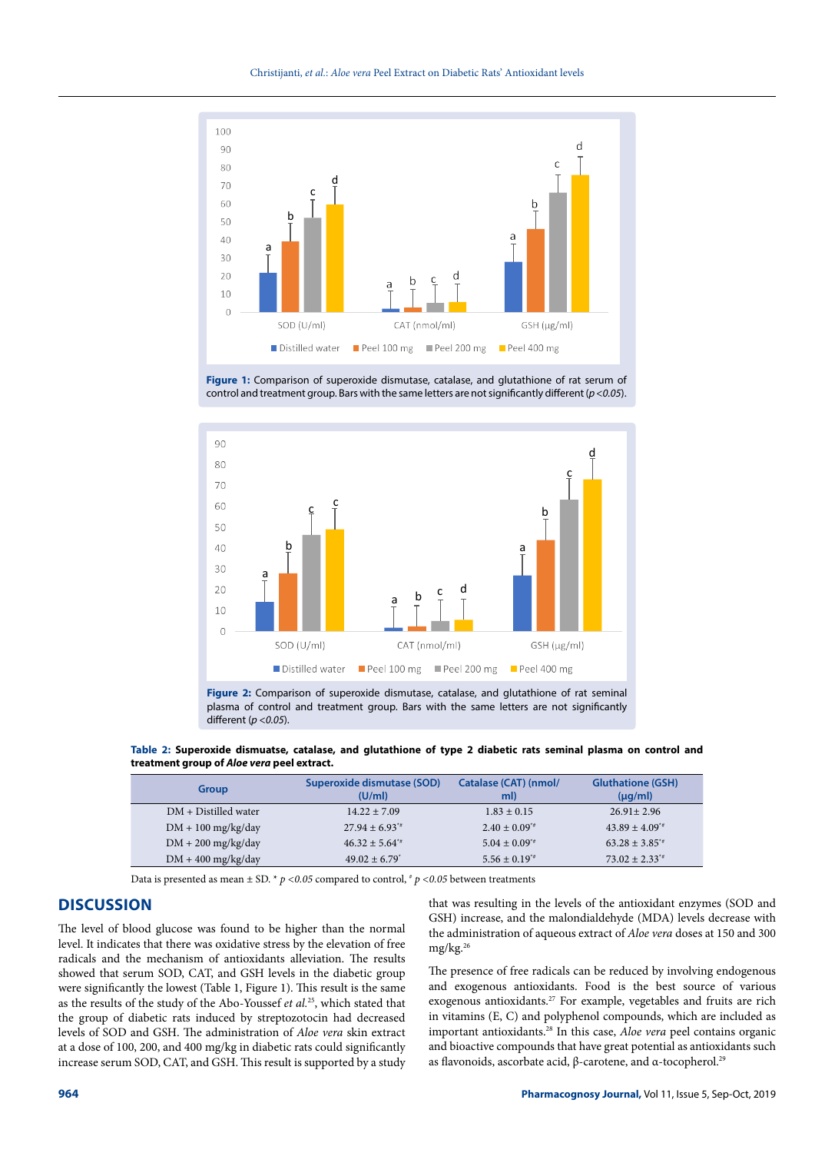





**Figure 2:** Comparison of superoxide dismutase, catalase, and glutathione of rat seminal plasma of control and treatment group. Bars with the same letters are not significantly different (*p <0.05*).

**Table 2: Superoxide dismuatse, catalase, and glutathione of type 2 diabetic rats seminal plasma on control and treatment group of** *Aloe vera* **peel extract.**

| <b>Group</b>           | Superoxide dismutase (SOD)<br>(U/ml) | Catalase (CAT) (nmol/<br>ml) | <b>Gluthatione (GSH)</b><br>$(\mu q/ml)$ |
|------------------------|--------------------------------------|------------------------------|------------------------------------------|
| $DM + Distilled water$ | $14.22 + 7.09$                       | $1.83 \pm 0.15$              | $26.91 \pm 2.96$                         |
| $DM + 100$ mg/kg/day   | $27.94 \pm 6.93^{*}$                 | $2.40 \pm 0.09^{*}$          | $43.89 \pm 4.09^{4}$                     |
| $DM + 200$ mg/kg/day   | $46.32 + 5.64^{4}$                   | $5.04 \pm 0.09^{*}$          | $63.28 \pm 3.85^{*}$                     |
| $DM + 400$ mg/kg/day   | $49.02 + 6.79$ <sup>*</sup>          | $5.56 \pm 0.19^{4}$          | $73.02 \pm 2.33^{*}$                     |

Data is presented as mean  $\pm$  SD. \*  $p$  <0.05 compared to control, \*  $p$  <0.05 between treatments

### **DISCUSSION**

The level of blood glucose was found to be higher than the normal level. It indicates that there was oxidative stress by the elevation of free radicals and the mechanism of antioxidants alleviation. The results showed that serum SOD, CAT, and GSH levels in the diabetic group were significantly the lowest (Table 1, Figure 1). This result is the same as the results of the study of the Abo-Youssef *et al.*25, which stated that the group of diabetic rats induced by streptozotocin had decreased levels of SOD and GSH. The administration of *Aloe vera* skin extract at a dose of 100, 200, and 400 mg/kg in diabetic rats could significantly increase serum SOD, CAT, and GSH. This result is supported by a study that was resulting in the levels of the antioxidant enzymes (SOD and GSH) increase, and the malondialdehyde (MDA) levels decrease with the administration of aqueous extract of *Aloe vera* doses at 150 and 300 mg/kg.26

The presence of free radicals can be reduced by involving endogenous and exogenous antioxidants. Food is the best source of various exogenous antioxidants.27 For example, vegetables and fruits are rich in vitamins (E, C) and polyphenol compounds, which are included as important antioxidants.28 In this case, *Aloe vera* peel contains organic and bioactive compounds that have great potential as antioxidants such as flavonoids, ascorbate acid, β-carotene, and α-tocopherol.29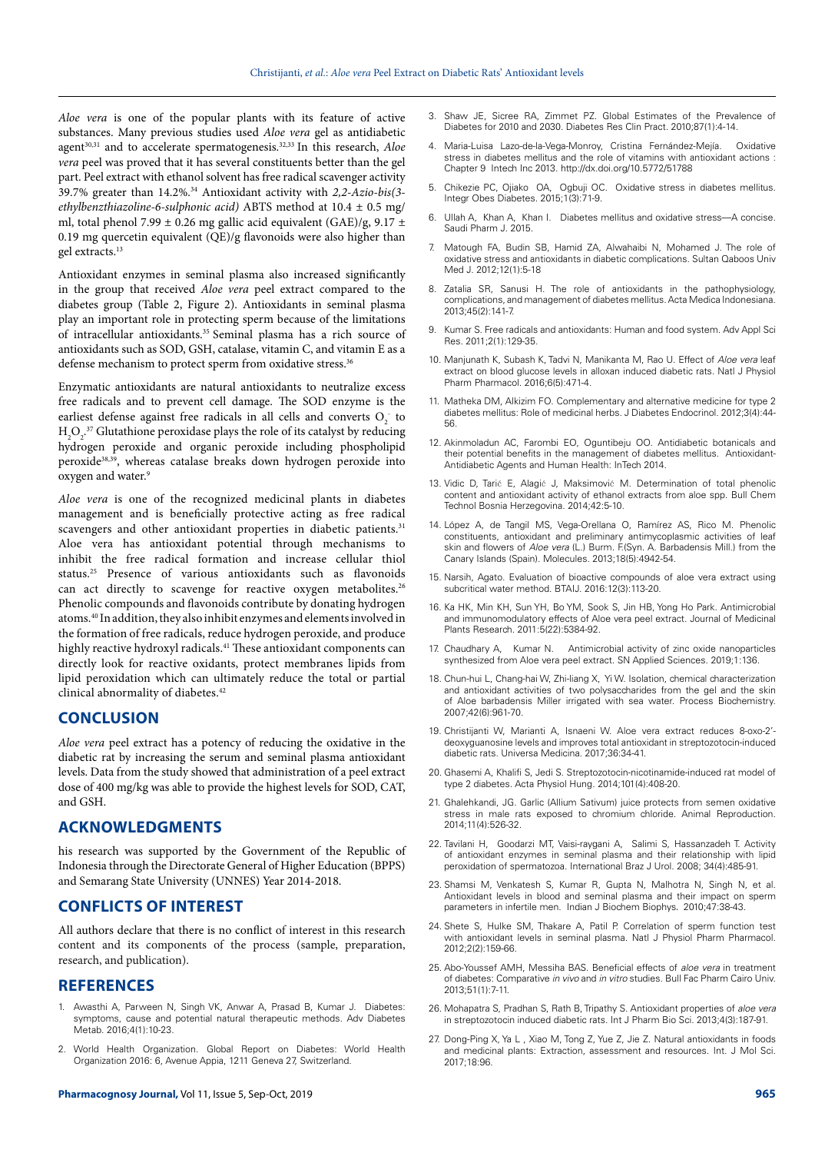*Aloe vera* is one of the popular plants with its feature of active substances. Many previous studies used *Aloe vera* gel as antidiabetic agent<sup>30,31</sup> and to accelerate spermatogenesis.<sup>32,33</sup> In this research, *Aloe vera* peel was proved that it has several constituents better than the gel part. Peel extract with ethanol solvent has free radical scavenger activity 39.7% greater than 14.2%.34 Antioxidant activity with *2,2-Azio-bis(3 ethylbenzthiazoline-6-sulphonic acid)* ABTS method at 10.4 ± 0.5 mg/ ml, total phenol 7.99  $\pm$  0.26 mg gallic acid equivalent (GAE)/g, 9.17  $\pm$ 0.19 mg quercetin equivalent (QE)/g flavonoids were also higher than gel extracts.13

Antioxidant enzymes in seminal plasma also increased significantly in the group that received *Aloe vera* peel extract compared to the diabetes group (Table 2, Figure 2). Antioxidants in seminal plasma play an important role in protecting sperm because of the limitations of intracellular antioxidants.35 Seminal plasma has a rich source of antioxidants such as SOD, GSH, catalase, vitamin C, and vitamin E as a defense mechanism to protect sperm from oxidative stress.<sup>36</sup>

Enzymatic antioxidants are natural antioxidants to neutralize excess free radicals and to prevent cell damage. The SOD enzyme is the earliest defense against free radicals in all cells and converts  $O_2^-$  to  $H_2O_2$ .<sup>37</sup> Glutathione peroxidase plays the role of its catalyst by reducing hydrogen peroxide and organic peroxide including phospholipid peroxide<sup>38,39</sup>, whereas catalase breaks down hydrogen peroxide into oxygen and water.<sup>9</sup>

*Aloe vera* is one of the recognized medicinal plants in diabetes management and is beneficially protective acting as free radical scavengers and other antioxidant properties in diabetic patients.<sup>31</sup> Aloe vera has antioxidant potential through mechanisms to inhibit the free radical formation and increase cellular thiol status.25 Presence of various antioxidants such as flavonoids can act directly to scavenge for reactive oxygen metabolites.<sup>26</sup> Phenolic compounds and flavonoids contribute by donating hydrogen atoms.40 In addition, they also inhibit enzymes and elements involved in the formation of free radicals, reduce hydrogen peroxide, and produce highly reactive hydroxyl radicals.<sup>41</sup> These antioxidant components can directly look for reactive oxidants, protect membranes lipids from lipid peroxidation which can ultimately reduce the total or partial clinical abnormality of diabetes.<sup>42</sup>

#### **CONCLUSION**

*Aloe vera* peel extract has a potency of reducing the oxidative in the diabetic rat by increasing the serum and seminal plasma antioxidant levels. Data from the study showed that administration of a peel extract dose of 400 mg/kg was able to provide the highest levels for SOD, CAT, and GSH.

### **ACKNOWLEDGMENTS**

his research was supported by the Government of the Republic of Indonesia through the Directorate General of Higher Education (BPPS) and Semarang State University (UNNES) Year 2014-2018.

## **CONFLICTS OF INTEREST**

All authors declare that there is no conflict of interest in this research content and its components of the process (sample, preparation, research, and publication).

#### **REFERENCES**

- 1. Awasthi A, Parween N, Singh VK, Anwar A, Prasad B, Kumar J. Diabetes: symptoms, cause and potential natural therapeutic methods. Adv Diabetes Metab. 2016;4(1):10-23.
- 2. World Health Organization. Global Report on Diabetes: World Health Organization 2016: 6, Avenue Appia, 1211 Geneva 27, Switzerland.
- 3. Shaw JE, Sicree RA, Zimmet PZ. Global Estimates of the Prevalence of Diabetes for 2010 and 2030. Diabetes Res Clin Pract. 2010;87(1):4-14.
- Maria-Luisa Lazo-de-la-Vega-Monroy, Cristina Fernández-Mejía. Oxidative stress in diabetes mellitus and the role of vitamins with antioxidant actions : Chapter 9 Intech Inc 2013. <http://dx.doi.org/10.5772/51788>
- 5. Chikezie PC, Ojiako OA, Ogbuji OC. Oxidative stress in diabetes mellitus. Integr Obes Diabetes. 2015;1(3):71-9.
- 6. Ullah A, Khan A, Khan I. Diabetes mellitus and oxidative stress––A concise. Saudi Pharm J. 2015.
- 7. Matough FA, Budin SB, Hamid ZA, Alwahaibi N, Mohamed J. The role of oxidative stress and antioxidants in diabetic complications. Sultan Qaboos Univ Med J. 2012;12(1):5-18
- 8. Zatalia SR, Sanusi H. The role of antioxidants in the pathophysiology, complications, and management of diabetes mellitus. Acta Medica Indonesiana. 2013;45(2):141-7.
- Kumar S. Free radicals and antioxidants: Human and food system. Adv Appl Sci Res. 2011;2(1):129-35.
- 10. Manjunath K, Subash K, Tadvi N, Manikanta M, Rao U. Effect of *Aloe vera* leaf extract on blood glucose levels in alloxan induced diabetic rats. Natl J Physiol Pharm Pharmacol. 2016;6(5):471-4.
- 11. Matheka DM, Alkizim FO. Complementary and alternative medicine for type 2 diabetes mellitus: Role of medicinal herbs. J Diabetes Endocrinol. 2012;3(4):44- 56.
- 12. Akinmoladun AC, Farombi EO, Oguntibeju OO. Antidiabetic botanicals and their potential benefits in the management of diabetes mellitus. Antioxidant-Antidiabetic Agents and Human Health: InTech 2014.
- 13. Vidic D, Tarić E, Alagić J, Maksimović M. Determination of total phenolic content and antioxidant activity of ethanol extracts from aloe spp. Bull Chem Technol Bosnia Herzegovina. 2014;42:5-10.
- 14. López A, de Tangil MS, Vega-Orellana O, Ramírez AS, Rico M. Phenolic constituents, antioxidant and preliminary antimycoplasmic activities of leaf skin and flowers of *Aloe vera* (L.) Burm. F.(Syn. A. Barbadensis Mill.) from the Canary Islands (Spain). Molecules. 2013;18(5):4942-54.
- 15. Narsih, Agato. Evaluation of bioactive compounds of aloe vera extract using subcritical water method. BTAIJ. 2016:12(3):113-20.
- 16. Ka HK, Min KH, Sun YH, Bo YM, Sook S, Jin HB, Yong Ho Park. Antimicrobial and immunomodulatory effects of Aloe vera peel extract. Journal of Medicinal Plants Research. 2011:5(22):5384-92.
- 17. Chaudhary A, Kumar N. Antimicrobial activity of zinc oxide nanoparticles synthesized from Aloe vera peel extract. SN Applied Sciences. 2019;1:136.
- 18. Chun-hui L, Chang-hai W, Zhi-liang X, Yi W. Isolation, chemical characterization and antioxidant activities of two polysaccharides from the gel and the skin of Aloe barbadensis Miller irrigated with sea water. Process Biochemistry. 2007;42(6):961-70.
- 19. Christijanti W, Marianti A, Isnaeni W. Aloe vera extract reduces 8-oxo-2' deoxyguanosine levels and improves total antioxidant in streptozotocin-induced diabetic rats. Universa Medicina. 2017;36:34-41.
- 20. Ghasemi A, Khalifi S, Jedi S. Streptozotocin-nicotinamide-induced rat model of type 2 diabetes. Acta Physiol Hung. 2014;101(4):408-20.
- 21. Ghalehkandi, JG. Garlic (Allium Sativum) juice protects from semen oxidative stress in male rats exposed to chromium chloride. Animal Reproduction. 2014;11(4):526-32.
- 22. Tavilani H, Goodarzi MT, Vaisi-raygani A, Salimi S, Hassanzadeh T. Activity of antioxidant enzymes in seminal plasma and their relationship with lipid peroxidation of spermatozoa. International Braz J Urol. 2008; 34(4):485-91.
- 23. Shamsi M, Venkatesh S, Kumar R, Gupta N, Malhotra N, Singh N, et al. Antioxidant levels in blood and seminal plasma and their impact on sperm parameters in infertile men. Indian J Biochem Biophys. 2010;47:38-43.
- 24. Shete S, Hulke SM, Thakare A, Patil P. Correlation of sperm function test with antioxidant levels in seminal plasma. Natl J Physiol Pharm Pharmacol. 2012;2(2):159-66.
- 25. Abo-Youssef AMH, Messiha BAS. Beneficial effects of *aloe vera* in treatment of diabetes: Comparative *in vivo* and *in vitro* studies. Bull Fac Pharm Cairo Univ. 2013;51(1):7-11.
- 26. Mohapatra S, Pradhan S, Rath B, Tripathy S. Antioxidant properties of *aloe vera* in streptozotocin induced diabetic rats. Int J Pharm Bio Sci. 2013;4(3):187-91.
- Dong-Ping X, Ya L, Xiao M, Tong Z, Yue Z, Jie Z. Natural antioxidants in foods and medicinal plants: Extraction, assessment and resources. Int. J Mol Sci. 2017;18:96.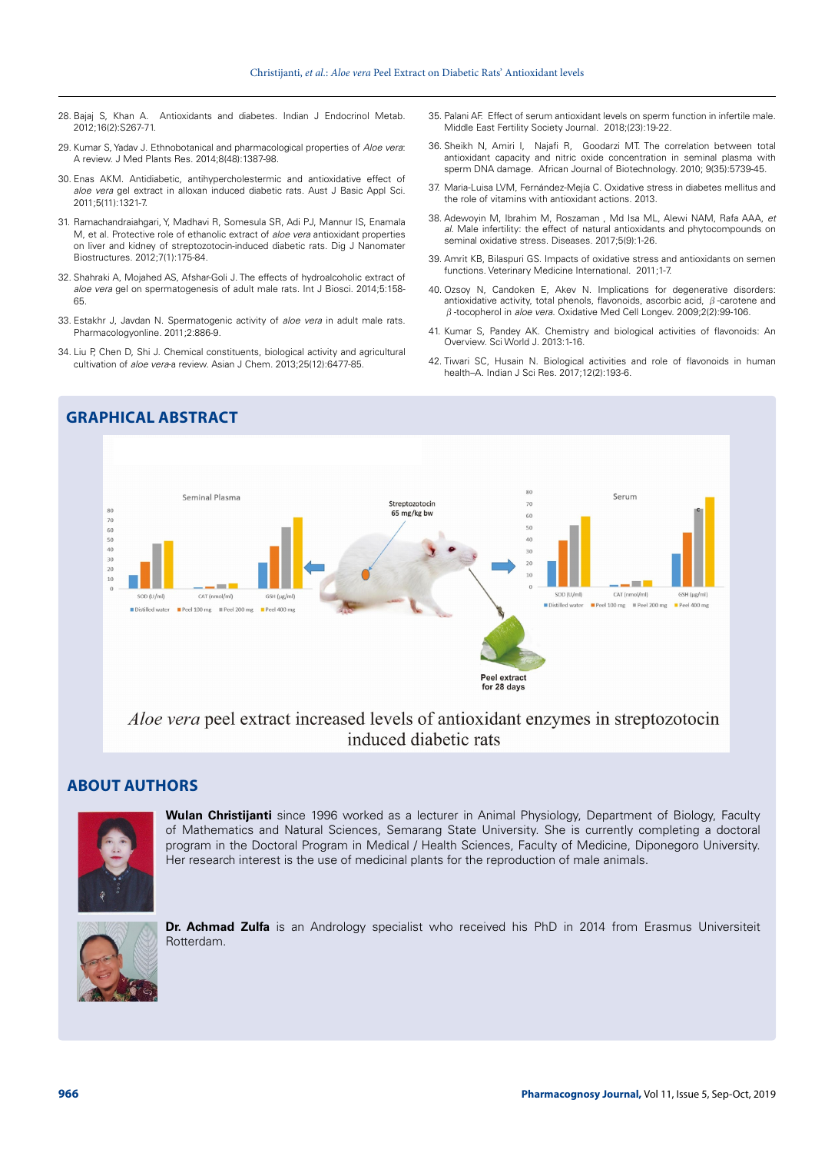- 28. Bajaj S, Khan A. Antioxidants and diabetes. Indian J Endocrinol Metab. 2012;16(2):S267-71.
- 29. Kumar S, Yadav J. Ethnobotanical and pharmacological properties of *Aloe vera*: A review. J Med Plants Res. 2014;8(48):1387-98.
- 30. Enas AKM. Antidiabetic, antihypercholestermic and antioxidative effect of *aloe vera* gel extract in alloxan induced diabetic rats. Aust J Basic Appl Sci. 2011;5(11):1321-7.
- 31. Ramachandraiahgari, Y, Madhavi R, Somesula SR, Adi PJ, Mannur IS, Enamala M, et al. Protective role of ethanolic extract of *aloe vera* antioxidant properties on liver and kidney of streptozotocin-induced diabetic rats. Dig J Nanomater Biostructures. 2012;7(1):175-84.
- 32. Shahraki A, Mojahed AS, Afshar-Goli J. The effects of hydroalcoholic extract of *aloe vera* gel on spermatogenesis of adult male rats. Int J Biosci. 2014;5:158- 65.
- 33. Estakhr J, Javdan N. Spermatogenic activity of *aloe vera* in adult male rats. Pharmacologyonline. 2011;2:886-9.
- 34. Liu P, Chen D, Shi J. Chemical constituents, biological activity and agricultural cultivation of *aloe vera*-a review. Asian J Chem. 2013;25(12):6477-85.
- 35. Palani AF. Effect of serum antioxidant levels on sperm function in infertile male. Middle East Fertility Society Journal. 2018;(23):19-22.
- 36. Sheikh N, Amiri I, Najafi R, Goodarzi MT. The correlation between total antioxidant capacity and nitric oxide concentration in seminal plasma with sperm DNA damage. African Journal of Biotechnology. 2010; 9(35):5739-45.
- 37. Maria-Luisa LVM, Fernández-Mejía C. Oxidative stress in diabetes mellitus and the role of vitamins with antioxidant actions. 2013.
- 38. Adewoyin M, Ibrahim M, Roszaman , Md Isa ML, Alewi NAM, Rafa AAA, *et al.* Male infertility: the effect of natural antioxidants and phytocompounds on seminal oxidative stress. Diseases. 2017;5(9):1-26.
- 39. Amrit KB, Bilaspuri GS. Impacts of oxidative stress and antioxidants on semen functions. Veterinary Medicine International. 2011;1-7.
- 40. Ozsoy N, Candoken E, Akev N. Implications for degenerative disorders: antioxidative activity, total phenols, flavonoids, ascorbic acid, β-carotene and β-tocopherol in *aloe vera*. Oxidative Med Cell Longev. 2009;2(2):99-106.
- 41. Kumar S, Pandey AK. Chemistry and biological activities of flavonoids: An Overview. Sci World J. 2013:1-16.
- 42. Tiwari SC, Husain N. Biological activities and role of flavonoids in human health–A. Indian J Sci Res. 2017;12(2):193-6.



# *Aloe vera* peel extract increased levels of antioxidant enzymes in streptozotocin induced diabetic rats

# **ABOUT AUTHORS**



**Wulan Christijanti** since 1996 worked as a lecturer in Animal Physiology, Department of Biology, Faculty of Mathematics and Natural Sciences, Semarang State University. She is currently completing a doctoral program in the Doctoral Program in Medical / Health Sciences, Faculty of Medicine, Diponegoro University. Her research interest is the use of medicinal plants for the reproduction of male animals.



**Dr. Achmad Zulfa** is an Andrology specialist who received his PhD in 2014 from Erasmus Universiteit Rotterdam.

# **GRAPHICAL ABSTRACT**